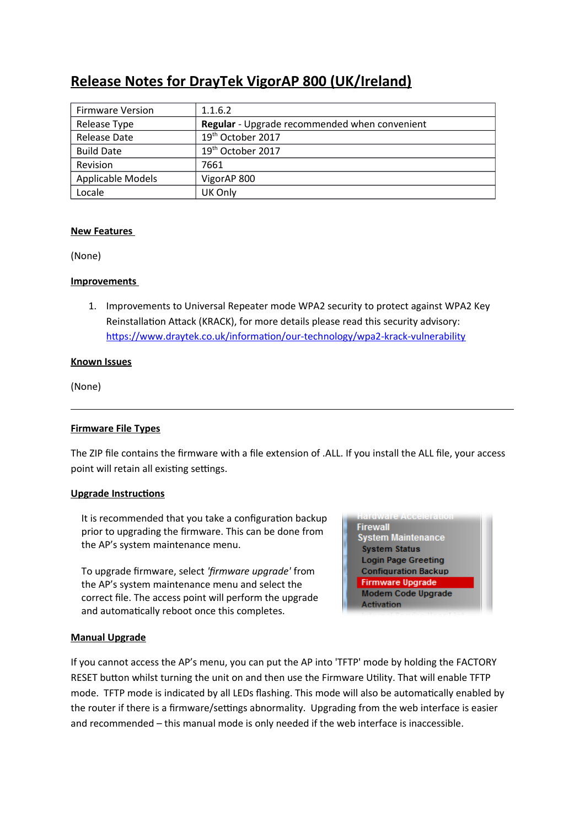# **Release Notes for DrayTek VigorAP 800 (UK/Ireland)**

| <b>Firmware Version</b> | 1.1.6.2                                              |
|-------------------------|------------------------------------------------------|
| Release Type            | <b>Regular</b> - Upgrade recommended when convenient |
| Release Date            | 19 <sup>th</sup> October 2017                        |
| <b>Build Date</b>       | 19 <sup>th</sup> October 2017                        |
| Revision                | 7661                                                 |
| Applicable Models       | VigorAP 800                                          |
| Locale                  | UK Only                                              |

#### **New Features**

(None)

#### **Improvements**

1. Improvements to Universal Repeater mode WPA2 security to protect against WPA2 Key Reinstallation Attack (KRACK), for more details please read this security advisory: https://www.draytek.co.uk/information/our-technology/wpa2-krack-vulnerability

#### **Known Issues**

(None)

# **Firmware File Types**

The ZIP fle contains the frmware with a fle extension of .ALL. If you install the ALL fle, your access point will retain all existing settings.

#### **Upgrade Instructions**

It is recommended that you take a configuration backup prior to upgrading the frmware. This can be done from the AP's system maintenance menu.

To upgrade firmware, select 'firmware upgrade' from the AP's system maintenance menu and select the correct fle. The access point will perform the upgrade and automatically reboot once this completes.



#### **Manual Upgrade**

If you cannot access the AP's menu, you can put the AP into 'TFTP' mode by holding the FACTORY RESET button whilst turning the unit on and then use the Firmware Utility. That will enable TFTP mode. TFTP mode is indicated by all LEDs flashing. This mode will also be automatically enabled by the router if there is a firmware/settings abnormality. Upgrading from the web interface is easier and recommended – this manual mode is only needed if the web interface is inaccessible.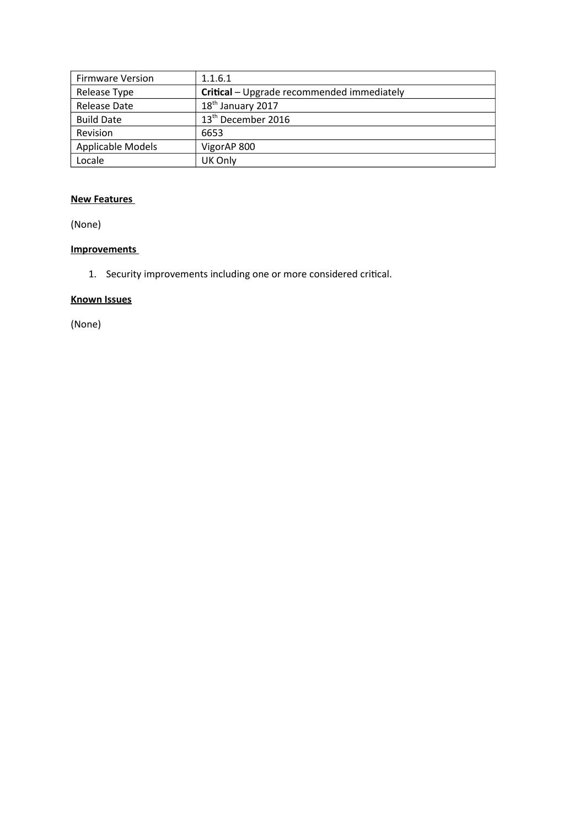| <b>Firmware Version</b>  | 1.1.6.1                                    |
|--------------------------|--------------------------------------------|
| Release Type             | Critical - Upgrade recommended immediately |
| Release Date             | 18 <sup>th</sup> January 2017              |
| <b>Build Date</b>        | 13 <sup>th</sup> December 2016             |
| Revision                 | 6653                                       |
| <b>Applicable Models</b> | VigorAP 800                                |
| Locale                   | UK Only                                    |

(None)

# **Improvements**

1. Security improvements including one or more considered critcal.

# **Known Issues**

(None)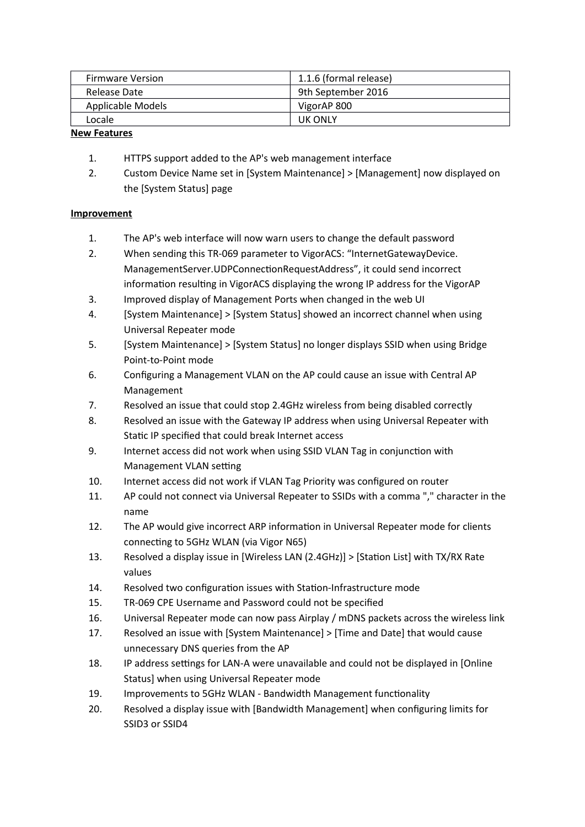| <b>Firmware Version</b> | 1.1.6 (formal release) |
|-------------------------|------------------------|
| Release Date            | 9th September 2016     |
| Applicable Models       | VigorAP 800            |
| Locale                  | <b>UK ONLY</b>         |

- 1. HTTPS support added to the AP's web management interface
- 2. Custom Device Name set in [System Maintenance] > [Management] now displayed on the [System Status] page

- 1. The AP's web interface will now warn users to change the default password
- 2. When sending this TR-069 parameter to VigorACS: "InternetGatewayDevice. ManagementServer.UDPConnectionRequestAddress", it could send incorrect information resulting in VigorACS displaying the wrong IP address for the VigorAP
- 3. Improved display of Management Ports when changed in the web UI
- 4. [System Maintenance] > [System Status] showed an incorrect channel when using Universal Repeater mode
- 5. [System Maintenance] > [System Status] no longer displays SSID when using Bridge Point-to-Point mode
- 6. Confguring a Management VLAN on the AP could cause an issue with Central AP Management
- 7. Resolved an issue that could stop 2.4GHz wireless from being disabled correctly
- 8. Resolved an issue with the Gateway IP address when using Universal Repeater with Static IP specified that could break Internet access
- 9. Internet access did not work when using SSID VLAN Tag in conjunction with Management VLAN setting
- 10. Internet access did not work if VLAN Tag Priority was confgured on router
- 11. AP could not connect via Universal Repeater to SSIDs with a comma "," character in the name
- 12. The AP would give incorrect ARP informaton in Universal Repeater mode for clients connecting to 5GHz WLAN (via Vigor N65)
- 13. Resolved a display issue in [Wireless LAN (2.4GHz)] > [Staton List] with TX/RX Rate values
- 14. Resolved two configuration issues with Station-Infrastructure mode
- 15. TR-069 CPE Username and Password could not be specifed
- 16. Universal Repeater mode can now pass Airplay / mDNS packets across the wireless link
- 17. Resolved an issue with [System Maintenance] > [Time and Date] that would cause unnecessary DNS queries from the AP
- 18. IP address settings for LAN-A were unavailable and could not be displayed in [Online Status] when using Universal Repeater mode
- 19. Improvements to 5GHz WLAN Bandwidth Management functonality
- 20. Resolved a display issue with [Bandwidth Management] when confguring limits for SSID3 or SSID4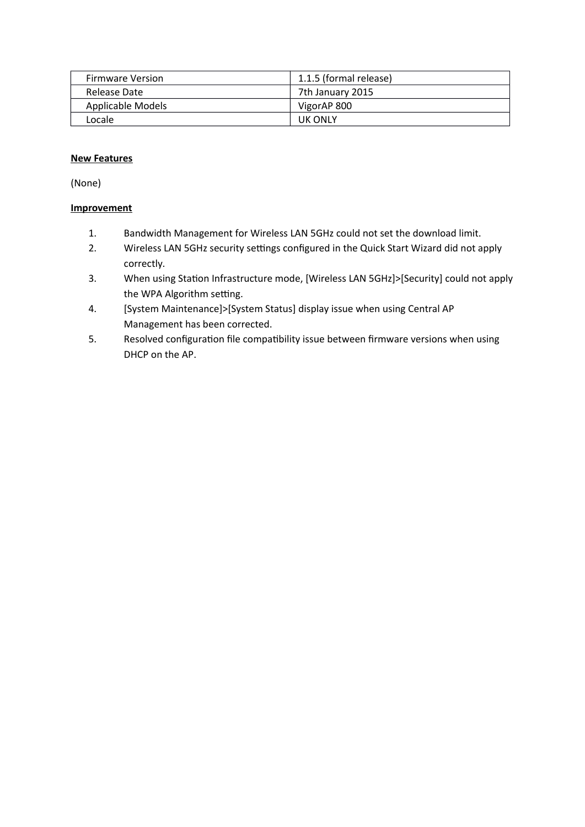| <b>Firmware Version</b> | 1.1.5 (formal release) |
|-------------------------|------------------------|
| Release Date            | 7th January 2015       |
| Applicable Models       | VigorAP 800            |
| Locale                  | <b>UK ONLY</b>         |

(None)

- 1. Bandwidth Management for Wireless LAN 5GHz could not set the download limit.
- 2. Wireless LAN 5GHz security settings configured in the Quick Start Wizard did not apply correctly.
- 3. When using Staton Infrastructure mode, [Wireless LAN 5GHz]>[Security] could not apply the WPA Algorithm setting.
- 4. [System Maintenance]>[System Status] display issue when using Central AP Management has been corrected.
- 5. Resolved configuration file compatibility issue between firmware versions when using DHCP on the AP.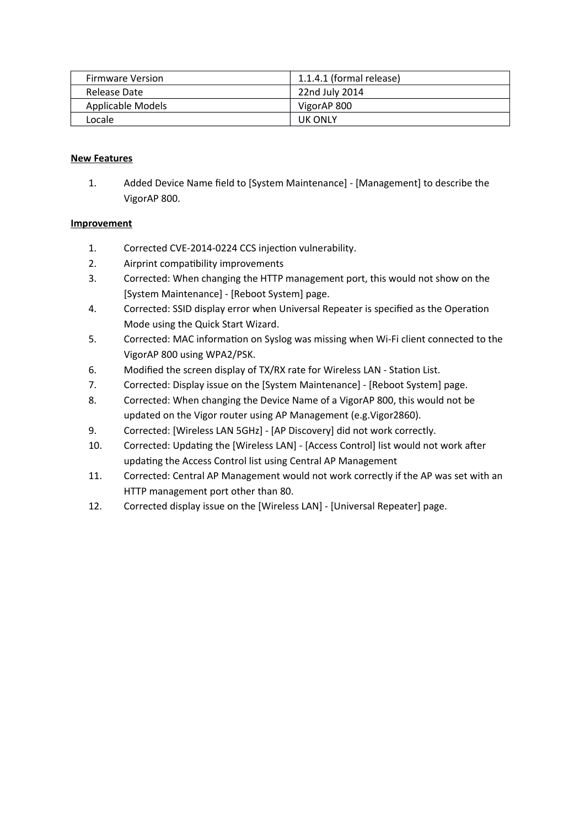| <b>Firmware Version</b>  | 1.1.4.1 (formal release) |
|--------------------------|--------------------------|
| Release Date             | 22nd July 2014           |
| <b>Applicable Models</b> | VigorAP 800              |
| Locale                   | UK ONLY                  |

1. Added Device Name feld to [System Maintenance] - [Management] to describe the VigorAP 800.

- 1. Corrected CVE-2014-0224 CCS injection vulnerability.
- 2. Airprint compatibility improvements
- 3. Corrected: When changing the HTTP management port, this would not show on the [System Maintenance] - [Reboot System] page.
- 4. Corrected: SSID display error when Universal Repeater is specifed as the Operaton Mode using the Quick Start Wizard.
- 5. Corrected: MAC information on Syslog was missing when Wi-Fi client connected to the VigorAP 800 using WPA2/PSK.
- 6. Modifed the screen display of TX/RX rate for Wireless LAN Staton List.
- 7. Corrected: Display issue on the [System Maintenance] [Reboot System] page.
- 8. Corrected: When changing the Device Name of a VigorAP 800, this would not be updated on the Vigor router using AP Management (e.g.Vigor2860).
- 9. Corrected: [Wireless LAN 5GHz] [AP Discovery] did not work correctly.
- 10. Corrected: Updating the [Wireless LAN] [Access Control] list would not work after updating the Access Control list using Central AP Management
- 11. Corrected: Central AP Management would not work correctly if the AP was set with an HTTP management port other than 80.
- 12. Corrected display issue on the [Wireless LAN] [Universal Repeater] page.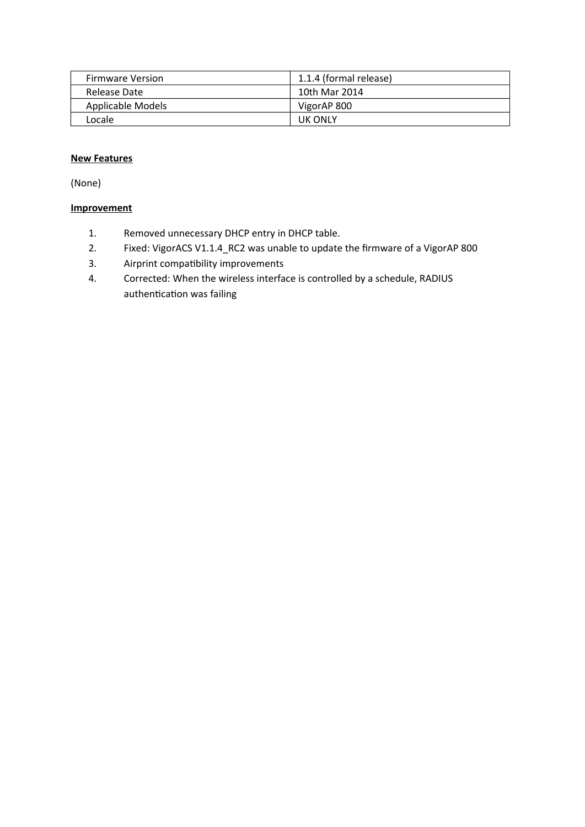| <b>Firmware Version</b> | 1.1.4 (formal release) |
|-------------------------|------------------------|
| Release Date            | 10th Mar 2014          |
| Applicable Models       | VigorAP 800            |
| Locale                  | <b>UK ONLY</b>         |

(None)

- 1. Removed unnecessary DHCP entry in DHCP table.
- 2. Fixed: VigorACS V1.1.4\_RC2 was unable to update the firmware of a VigorAP 800
- 3. Airprint compatibility improvements
- 4. Corrected: When the wireless interface is controlled by a schedule, RADIUS authentication was failing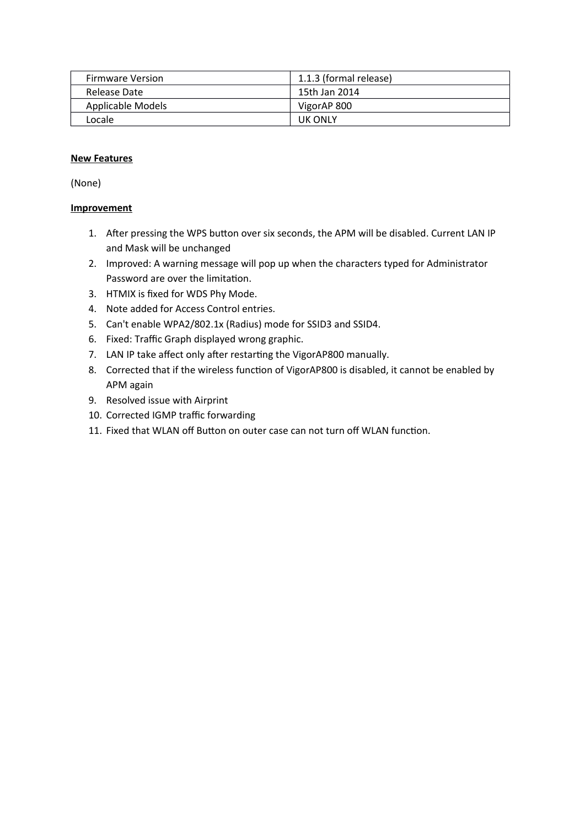| <b>Firmware Version</b> | 1.1.3 (formal release) |
|-------------------------|------------------------|
| Release Date            | 15th Jan 2014          |
| Applicable Models       | VigorAP 800            |
| Locale                  | <b>UK ONLY</b>         |

(None)

- 1. After pressing the WPS button over six seconds, the APM will be disabled. Current LAN IP and Mask will be unchanged
- 2. Improved: A warning message will pop up when the characters typed for Administrator Password are over the limitation.
- 3. HTMIX is fxed for WDS Phy Mode.
- 4. Note added for Access Control entries.
- 5. Can't enable WPA2/802.1x (Radius) mode for SSID3 and SSID4.
- 6. Fixed: Traffic Graph displayed wrong graphic.
- 7. LAN IP take affect only after restarting the VigorAP800 manually.
- 8. Corrected that if the wireless function of VigorAP800 is disabled, it cannot be enabled by APM again
- 9. Resolved issue with Airprint
- 10. Corrected IGMP traffic forwarding
- 11. Fixed that WLAN off Button on outer case can not turn off WLAN function.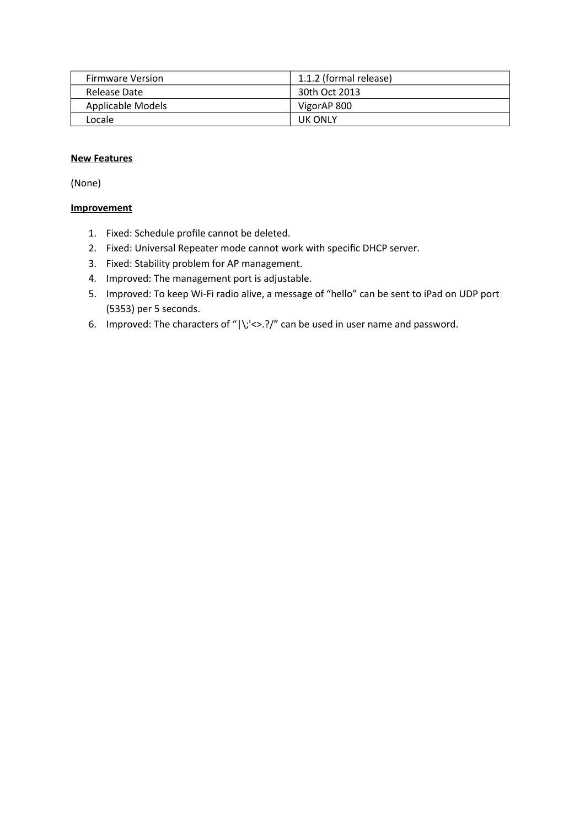| <b>Firmware Version</b> | 1.1.2 (formal release) |
|-------------------------|------------------------|
| Release Date            | 30th Oct 2013          |
| Applicable Models       | VigorAP 800            |
| Locale                  | <b>UK ONLY</b>         |

(None)

- 1. Fixed: Schedule profle cannot be deleted.
- 2. Fixed: Universal Repeater mode cannot work with specifc DHCP server.
- 3. Fixed: Stability problem for AP management.
- 4. Improved: The management port is adjustable.
- 5. Improved: To keep Wi-Fi radio alive, a message of "hello" can be sent to iPad on UDP port (5353) per 5 seconds.
- 6. Improved: The characters of " $|\cdot\rangle$ ;'<>.?/" can be used in user name and password.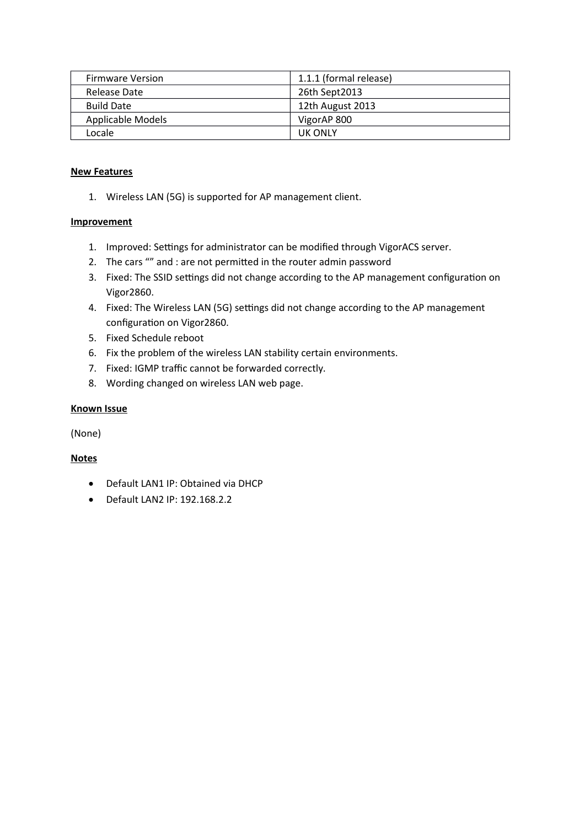| <b>Firmware Version</b> | 1.1.1 (formal release) |
|-------------------------|------------------------|
| Release Date            | 26th Sept2013          |
| <b>Build Date</b>       | 12th August 2013       |
| Applicable Models       | VigorAP 800            |
| Locale                  | UK ONLY                |

1. Wireless LAN (5G) is supported for AP management client.

#### **Improvement**

- 1. Improved: Settings for administrator can be modified through VigorACS server.
- 2. The cars "" and : are not permited in the router admin password
- 3. Fixed: The SSID settings did not change according to the AP management configuration on Vigor2860.
- 4. Fixed: The Wireless LAN (5G) settings did not change according to the AP management configuration on Vigor2860.
- 5. Fixed Schedule reboot
- 6. Fix the problem of the wireless LAN stability certain environments.
- 7. Fixed: IGMP traffic cannot be forwarded correctly.
- 8. Wording changed on wireless LAN web page.

#### **Known Issue**

(None)

#### **Notes**

- Default LAN1 IP: Obtained via DHCP
- Default LAN2 IP: 192.168.2.2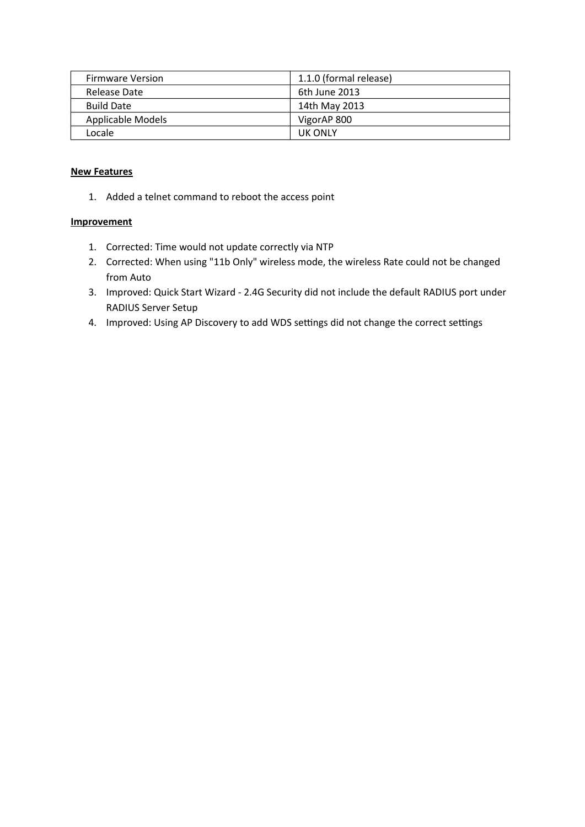| <b>Firmware Version</b> | 1.1.0 (formal release) |
|-------------------------|------------------------|
| Release Date            | 6th June 2013          |
| <b>Build Date</b>       | 14th May 2013          |
| Applicable Models       | VigorAP 800            |
| Locale                  | UK ONLY                |

1. Added a telnet command to reboot the access point

- 1. Corrected: Time would not update correctly via NTP
- 2. Corrected: When using "11b Only" wireless mode, the wireless Rate could not be changed from Auto
- 3. Improved: Quick Start Wizard 2.4G Security did not include the default RADIUS port under RADIUS Server Setup
- 4. Improved: Using AP Discovery to add WDS settings did not change the correct settings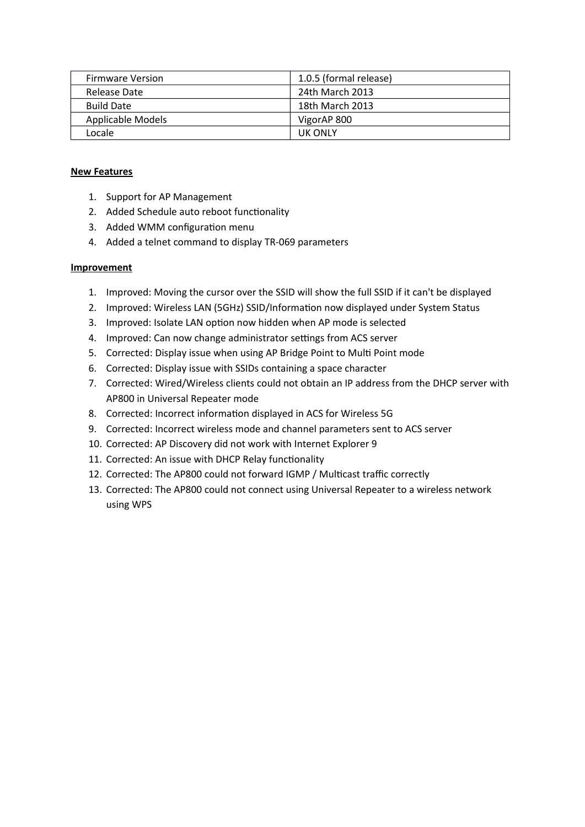| <b>Firmware Version</b> | 1.0.5 (formal release) |
|-------------------------|------------------------|
| Release Date            | 24th March 2013        |
| <b>Build Date</b>       | 18th March 2013        |
| Applicable Models       | VigorAP 800            |
| Locale                  | <b>UK ONLY</b>         |

- 1. Support for AP Management
- 2. Added Schedule auto reboot functionality
- 3. Added WMM configuration menu
- 4. Added a telnet command to display TR-069 parameters

- 1. Improved: Moving the cursor over the SSID will show the full SSID if it can't be displayed
- 2. Improved: Wireless LAN (5GHz) SSID/Information now displayed under System Status
- 3. Improved: Isolate LAN option now hidden when AP mode is selected
- 4. Improved: Can now change administrator settings from ACS server
- 5. Corrected: Display issue when using AP Bridge Point to Mult Point mode
- 6. Corrected: Display issue with SSIDs containing a space character
- 7. Corrected: Wired/Wireless clients could not obtain an IP address from the DHCP server with AP800 in Universal Repeater mode
- 8. Corrected: Incorrect information displayed in ACS for Wireless 5G
- 9. Corrected: Incorrect wireless mode and channel parameters sent to ACS server
- 10. Corrected: AP Discovery did not work with Internet Explorer 9
- 11. Corrected: An issue with DHCP Relay functionality
- 12. Corrected: The AP800 could not forward IGMP / Multicast traffic correctly
- 13. Corrected: The AP800 could not connect using Universal Repeater to a wireless network using WPS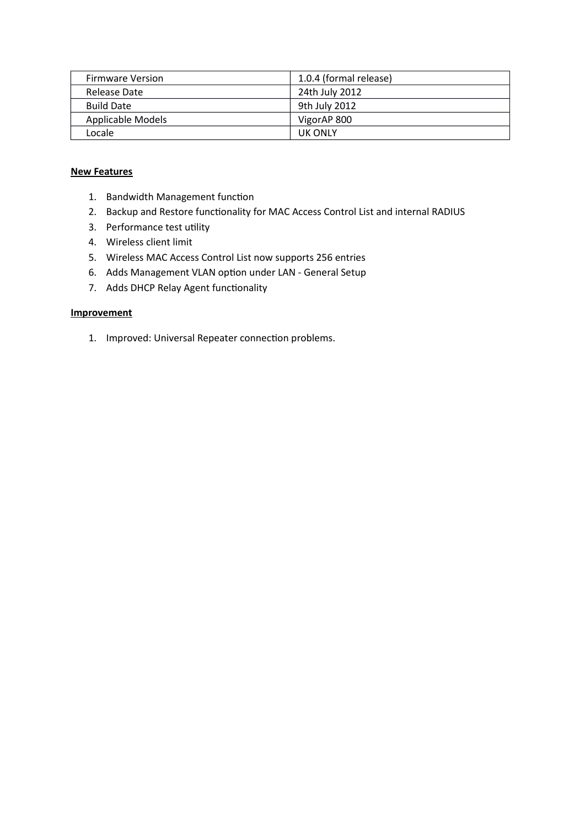| <b>Firmware Version</b> | 1.0.4 (formal release) |
|-------------------------|------------------------|
| Release Date            | 24th July 2012         |
| <b>Build Date</b>       | 9th July 2012          |
| Applicable Models       | VigorAP 800            |
| Locale                  | UK ONLY                |

- 1. Bandwidth Management function
- 2. Backup and Restore functionality for MAC Access Control List and internal RADIUS
- 3. Performance test utility
- 4. Wireless client limit
- 5. Wireless MAC Access Control List now supports 256 entries
- 6. Adds Management VLAN option under LAN General Setup
- 7. Adds DHCP Relay Agent functionality

#### **Improvement**

1. Improved: Universal Repeater connection problems.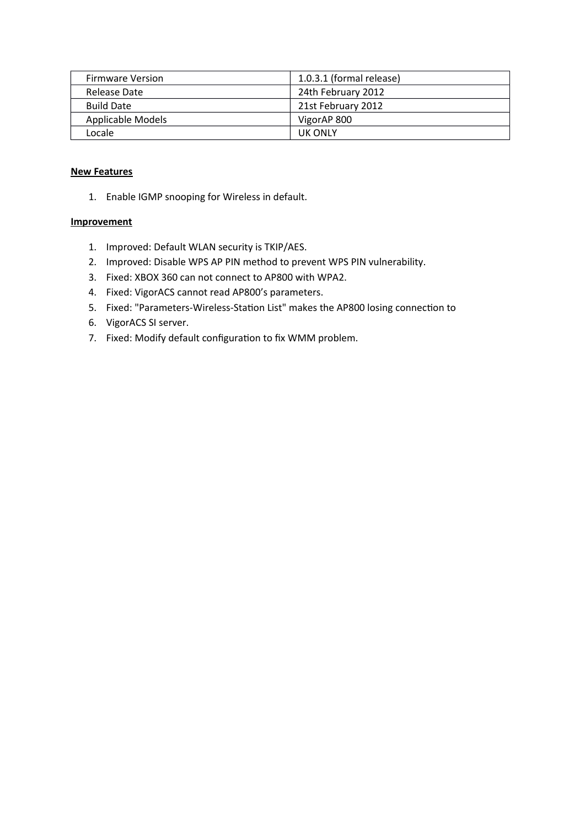| <b>Firmware Version</b> | 1.0.3.1 (formal release) |
|-------------------------|--------------------------|
| Release Date            | 24th February 2012       |
| <b>Build Date</b>       | 21st February 2012       |
| Applicable Models       | VigorAP 800              |
| Locale                  | UK ONLY                  |

1. Enable IGMP snooping for Wireless in default.

- 1. Improved: Default WLAN security is TKIP/AES.
- 2. Improved: Disable WPS AP PIN method to prevent WPS PIN vulnerability.
- 3. Fixed: XBOX 360 can not connect to AP800 with WPA2.
- 4. Fixed: VigorACS cannot read AP800's parameters.
- 5. Fixed: "Parameters-Wireless-Station List" makes the AP800 losing connection to
- 6. VigorACS SI server.
- 7. Fixed: Modify default configuration to fix WMM problem.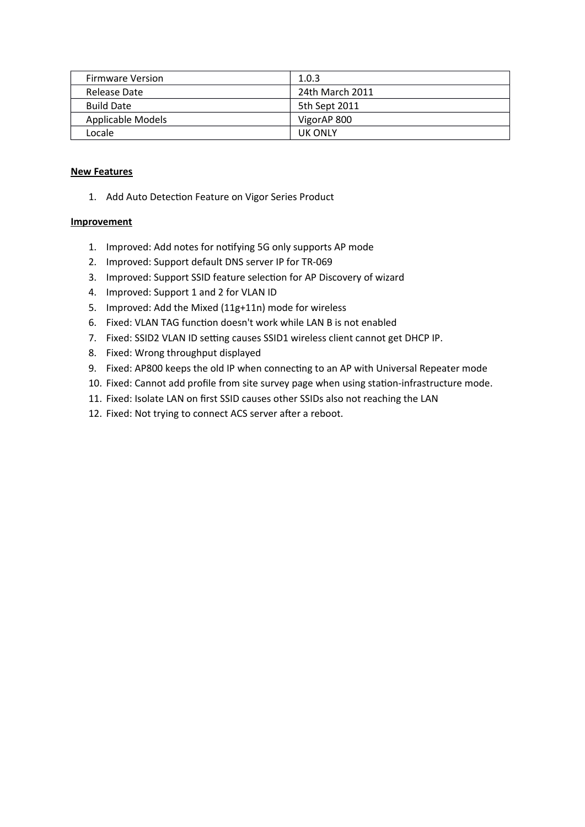| <b>Firmware Version</b> | 1.0.3           |
|-------------------------|-----------------|
| Release Date            | 24th March 2011 |
| <b>Build Date</b>       | 5th Sept 2011   |
| Applicable Models       | VigorAP 800     |
| Locale                  | <b>UK ONLY</b>  |

1. Add Auto Detection Feature on Vigor Series Product

- 1. Improved: Add notes for notfying 5G only supports AP mode
- 2. Improved: Support default DNS server IP for TR-069
- 3. Improved: Support SSID feature selection for AP Discovery of wizard
- 4. Improved: Support 1 and 2 for VLAN ID
- 5. Improved: Add the Mixed (11g+11n) mode for wireless
- 6. Fixed: VLAN TAG function doesn't work while LAN B is not enabled
- 7. Fixed: SSID2 VLAN ID setting causes SSID1 wireless client cannot get DHCP IP.
- 8. Fixed: Wrong throughput displayed
- 9. Fixed: AP800 keeps the old IP when connecting to an AP with Universal Repeater mode
- 10. Fixed: Cannot add profle from site survey page when using staton-infrastructure mode.
- 11. Fixed: Isolate LAN on frst SSID causes other SSIDs also not reaching the LAN
- 12. Fixed: Not trying to connect ACS server after a reboot.